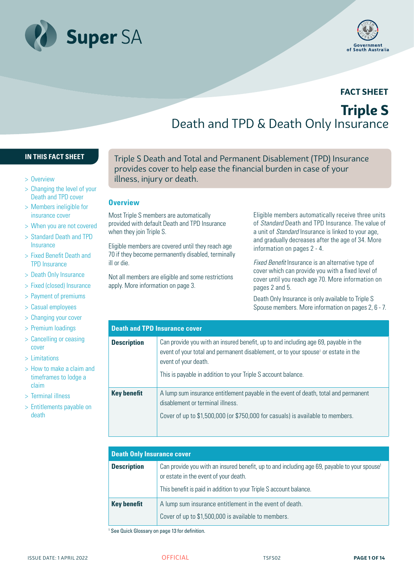



# **FACT SHEET Triple S** Death and TPD & Death Only Insurance

#### **IN THIS FACT SHEET**

- > Overview
- > Changing the level of your Death and TPD cover
- > Members ineligible for insurance cover
- > When you are not covered
- > Standard Death and TPD **Insurance**
- > Fixed Benefit Death and TPD Insurance
- > Death Only Insurance
- > Fixed (closed) Insurance
- > Payment of premiums
- > Casual employees
- > Changing your cover
- > Premium loadings
- > Cancelling or ceasing cover
- > Limitations
- > How to make a claim and timeframes to lodge a claim
- > Terminal illness
- > Entitlements payable on death

Triple S Death and Total and Permanent Disablement (TPD) Insurance provides cover to help ease the financial burden in case of your illness, injury or death.

#### **Overview**

Most Triple S members are automatically provided with default Death and TPD Insurance when they join Triple S.

Eligible members are covered until they reach age 70 if they become permanently disabled, terminally ill or die.

Not all members are eligible and some restrictions apply. More information on page 3.

Eligible members automatically receive three units of *Standard* Death and TPD Insurance. The value of a unit of *Standard* Insurance is linked to your age, and gradually decreases after the age of 34. More information on pages 2 - 4.

*Fixed Benefit* Insurance is an alternative type of cover which can provide you with a fixed level of cover until you reach age 70. More information on pages 2 and 5.

Death Only Insurance is only available to Triple S Spouse members. More information on pages 2, 6 - 7.

|                    | <b>Death and TPD Insurance cover</b>                                                                                                                                                                                                                                           |
|--------------------|--------------------------------------------------------------------------------------------------------------------------------------------------------------------------------------------------------------------------------------------------------------------------------|
| <b>Description</b> | Can provide you with an insured benefit, up to and including age 69, payable in the<br>event of your total and permanent disablement, or to your spouse <sup>1</sup> or estate in the<br>event of your death.<br>This is payable in addition to your Triple S account balance. |
| <b>Key benefit</b> | A lump sum insurance entitlement payable in the event of death, total and permanent<br>disablement or terminal illness.<br>Cover of up to \$1,500,000 (or \$750,000 for casuals) is available to members.                                                                      |

| <b>Death Only Insurance cover</b> |                                                                                                                                                                                                                         |  |  |  |
|-----------------------------------|-------------------------------------------------------------------------------------------------------------------------------------------------------------------------------------------------------------------------|--|--|--|
| <b>Description</b>                | Can provide you with an insured benefit, up to and including age 69, payable to your spouse <sup>1</sup><br>or estate in the event of your death.<br>This benefit is paid in addition to your Triple S account balance. |  |  |  |
| <b>Key benefit</b>                | A lump sum insurance entitlement in the event of death.<br>Cover of up to \$1,500,000 is available to members.                                                                                                          |  |  |  |

<sup>1</sup> See Quick Glossary on page 13 for definition.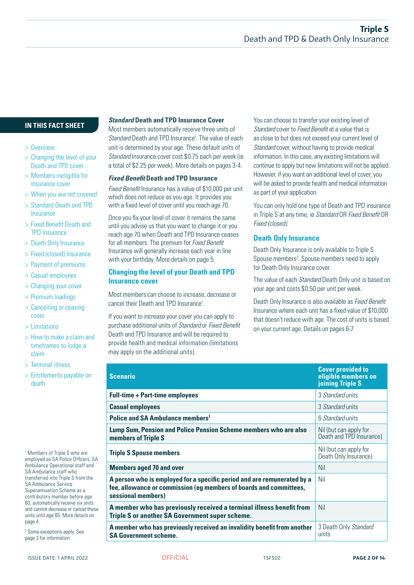- > Overview
- > Changing the level of your Death and TPD cover
- > Members ineligible for insurance cover
- > When you are not covered
- > Standard Death and TPD Insurance
- > Fixed Benefit Death and TPD Insurance
- > Death Only Insurance
- > Fixed (closed) Insurance
- > Payment of premiums
- > Casual employees
- > Changing your cover
- > Premium loadings
- > Cancelling or ceasing cover
- > Limitations
- > How to make a claim and timeframes to lodge a claim
- > Terminal illness
- > Entitlements payable on death

1 Members of Triple S who are employed as SA Police Officers, SA Ambulance Operational staff and SA Ambulance staff who transferred into Triple S from the SA Ambulance Service Superannuation Scheme as a contributory member before age 60, automatically receive six units and cannot decrease or cancel these units until age 65. More details on page 4.

2 Some exceptions apply. See page 3 for information.

#### *Standard* **Death and TPD Insurance Cover**

Most members automatically receive three units of Standard Death and TPD Insurance<sup>1</sup>. The value of each unit is determined by your age. These default units of *Standard* Insurance cover cost \$0.75 each per week (ie a total of \$2.25 per week). More details on pages 3-4.

#### *Fixed Benefit* **Death and TPD Insurance**

*Fixed Benefit* Insurance has a value of \$10,000 per unit which does not reduce as you age. It provides you with a fixed level of cover until you reach age 70.

Once you fix your level of cover it remains the same until you advise us that you want to change it or you reach age 70 when Death and TPD Insurance ceases for all members. The premium for *Fixed Benefit* Insurance will generally increase each year in line with your birthday. More details on page 5.

#### **Changing the level of your Death and TPD Insurance cover**

Most members can choose to increase, decrease or cancel their Death and TPD Insurance<sup>1</sup>.

If you want to increase your cover you can apply to purchase additional units of *Standard* or *Fixed Benefit*  Death and TPD Insurance and will be required to provide health and medical information (limitations may apply on the additional units).

You can choose to transfer your existing level of *Standard* cover to *Fixed Benefit* at a value that is as close to but does not exceed your current level of *Standard* cover, without having to provide medical information. In this case, any existing limitations will continue to apply but new limitations will not be applied. However, if you want an additional level of cover, you will be asked to provide health and medical information as part of your application.

You can only hold one type of Death and TPD insurance in Triple S at any time, ie *Standard* OR *Fixed Benefit* OR *Fixed (closed)*.

#### **Death Only Insurance**

Death Only Insurance is only available to Triple S Spouse members<sup>2</sup>. Spouse members need to apply for Death Only Insurance cover.

The value of each *Standard* Death Only unit is based on your age and costs \$0.50 per unit per week.

Death Only Insurance is also available as *Fixed Benefit* Insurance where each unit has a fixed value of \$10,000 that doesn't reduce with age. The cost of units is based on your current age. Details on pages 6-7.

| <b>Scenario</b>                                                                                                                                                     | <b>Cover provided to</b><br>eligible members on<br>joining Triple S |
|---------------------------------------------------------------------------------------------------------------------------------------------------------------------|---------------------------------------------------------------------|
| <b>Full-time + Part-time employees</b>                                                                                                                              | 3 Standard units                                                    |
| <b>Casual employees</b>                                                                                                                                             | 3 Standard units                                                    |
| Police and SA Ambulance members <sup>1</sup>                                                                                                                        | 6 Standard units                                                    |
| Lump Sum, Pension and Police Pension Scheme members who are also<br>members of Triple S                                                                             | Nil (but can apply for<br>Death and TPD Insurance)                  |
| <b>Triple S Spouse members</b>                                                                                                                                      | Nil (but can apply for<br>Death Only Insurance)                     |
| <b>Members aged 70 and over</b>                                                                                                                                     | Nil                                                                 |
| A person who is employed for a specific period and are remunerated by a<br>fee, allowance or commission (eg members of boards and committees,<br>sessional members) | Nil                                                                 |
| A member who has previously received a terminal illness benefit from<br>Triple S or another SA Government super scheme.                                             | <b>Nil</b>                                                          |
| A member who has previously received an invalidity benefit from another<br><b>SA Government scheme.</b>                                                             | 3 Death Only Standard<br>units                                      |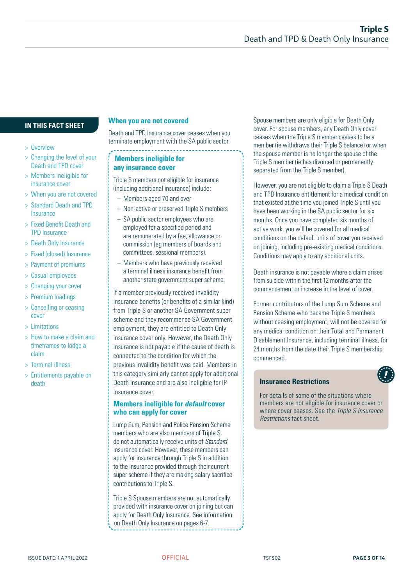- > Overview
- > Changing the level of your Death and TPD cover
- > Members ineligible for insurance cover
- > When you are not covered
- > Standard Death and TPD Insurance
- > Fixed Benefit Death and TPD Insurance
- > Death Only Insurance
- > Fixed (closed) Insurance
- > Payment of premiums
- > Casual employees
- > Changing your cover
- > Premium loadings
- > Cancelling or ceasing cover
- > Limitations
- > How to make a claim and timeframes to lodge a claim
- > Terminal illness
- > Entitlements payable on death

# **IN THIS FACT SHEET When you are not covered**

Death and TPD Insurance cover ceases when you terminate employment with the SA public sector.

## **Members ineligible for any insurance cover**

Triple S members not eligible for insurance (including additional insurance) include:

- Members aged 70 and over
- Non-active or preserved Triple S members
- SA public sector employees who are employed for a specified period and are remunerated by a fee, allowance or commission (eg members of boards and committees, sessional members).
- Members who have previously received a terminal illness insurance benefit from another state government super scheme.

If a member previously received invalidity insurance benefits (or benefits of a similar kind) from Triple S or another SA Government super scheme and they recommence SA Government employment, they are entitled to Death Only Insurance cover only. However, the Death Only Insurance is not payable if the cause of death is connected to the condition for which the previous invalidity benefit was paid. Members in this category similarly cannot apply for additional Death Insurance and are also ineligible for IP Insurance cover.

#### **Members ineligible for** *default* **cover who can apply for cover**

Lump Sum, Pension and Police Pension Scheme members who are also members of Triple S. do not automatically receive units of *Standard* Insurance cover. However, these members can apply for insurance through Triple S in addition to the insurance provided through their current super scheme if they are making salary sacrifice contributions to Triple S.

Triple S Spouse members are not automatically provided with insurance cover on joining but can apply for Death Only Insurance. See information on Death Only Insurance on pages 6-7.

Spouse members are only eligible for Death Only cover. For spouse members, any Death Only cover ceases when the Triple S member ceases to be a member (ie withdraws their Triple S balance) or when the spouse member is no longer the spouse of the Triple S member (ie has divorced or permanently separated from the Triple S member).

However, you are not eligible to claim a Triple S Death and TPD Insurance entitlement for a medical condition that existed at the time you joined Triple S until you have been working in the SA public sector for six months. Once you have completed six months of active work, you will be covered for all medical conditions on the default units of cover you received on joining, including pre-existing medical conditions. Conditions may apply to any additional units.

Death insurance is not payable where a claim arises from suicide within the first 12 months after the commencement or increase in the level of cover.

Former contributors of the Lump Sum Scheme and Pension Scheme who became Triple S members without ceasing employment, will not be covered for any medical condition on their Total and Permanent Disablement Insurance, including terminal illness, for 24 months from the date their Triple S membership commenced.

## **Insurance Restrictions**

For details of some of the situations where members are not eligible for insurance cover or where cover ceases. See the *Triple S Insurance Restrictions* fact sheet.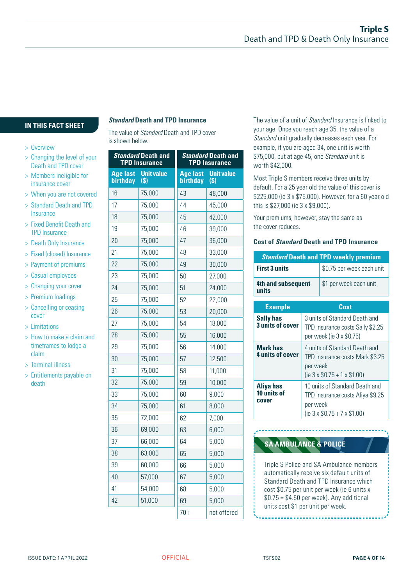- > Overview
- > Changing the level of your Death and TPD cover
- > Members ineligible for insurance cover
- > When you are not covered
- > Standard Death and TPD Insurance
- > Fixed Benefit Death and TPD Insurance
- > Death Only Insurance
- > Fixed (closed) Insurance
- > Payment of premiums
- > Casual employees
- > Changing your cover
- > Premium loadings
- > Cancelling or ceasing cover
- > Limitations
- > How to make a claim and timeframes to lodge a claim
- > Terminal illness
- > Entitlements payable on death

### *Standard* **Death and TPD Insurance**

The value of *Standard* Death and TPD cover is shown below.

|                                    | <b>Standard Death and</b><br><b>TPD Insurance</b> |                             | <b>Standard Death and</b><br><b>TPD Insurance</b> |
|------------------------------------|---------------------------------------------------|-----------------------------|---------------------------------------------------|
| <b>Age last</b><br><b>birthday</b> | <b>Unit value</b><br>(S)                          | <b>Age last</b><br>birthday | <b>Unit value</b><br>(S)                          |
| 16                                 | 75,000                                            | 43                          | 48,000                                            |
| 17                                 | 75,000                                            | 44                          | 45,000                                            |
| 18                                 | 75,000                                            | 45                          | 42,000                                            |
| 19                                 | 75,000                                            | 46                          | 39,000                                            |
| 20                                 | 75,000                                            | 47                          | 36,000                                            |
| 21                                 | 75,000                                            | 48                          | 33,000                                            |
| 22                                 | 75,000                                            | 49                          | 30,000                                            |
| 23                                 | 75,000                                            | 50                          | 27,000                                            |
| 24                                 | 75,000                                            | 51                          | 24,000                                            |
| 25                                 | 75,000                                            | 52                          | 22,000                                            |
| 26                                 | 75,000                                            | 53                          | 20,000                                            |
| 27                                 | 75,000                                            | 54                          | 18,000                                            |
| 28                                 | 75,000                                            | 55                          | 16,000                                            |
| 29                                 | 75,000                                            | 56                          | 14,000                                            |
| 30                                 | 75,000                                            | 57                          | 12,500                                            |
| 31                                 | 75,000                                            | 58                          | 11,000                                            |
| 32                                 | 75,000                                            | 59                          | 10,000                                            |
| 33                                 | 75,000                                            | 60                          | 9,000                                             |
| 34                                 | 75,000                                            | 61                          | 8,000                                             |
| 35                                 | 72,000                                            | 62                          | 7,000                                             |
| 36                                 | 69,000                                            | 63                          | 6,000                                             |
| 37                                 | 66,000                                            | 64                          | 5,000                                             |
| 38                                 | 63,000                                            | 65                          | 5,000                                             |
| 39                                 | 60,000                                            | 66                          | 5,000                                             |
| 40                                 | 57,000                                            | 67                          | 5,000                                             |
| 41                                 | 54,000                                            | 68                          | 5,000                                             |
| 42                                 | 51,000                                            | 69                          | 5,000                                             |
|                                    |                                                   | $70+$                       | not offered                                       |

The value of a unit of *Standard* Insurance is linked to your age. Once you reach age 35, the value of a *Standard* unit gradually decreases each year. For example, if you are aged 34, one unit is worth \$75,000, but at age 45, one *Standard* unit is worth \$42,000.

Most Triple S members receive three units by default. For a 25 year old the value of this cover is \$225,000 (ie 3 x \$75,000). However, for a 60 year old this is \$27,000 (ie 3 x \$9,000).

Your premiums, however, stay the same as the cover reduces.

### **Cost of** *Standard* **Death and TPD Insurance**

| <b>Standard Death and TPD weekly premium</b> |                                                                                                                           |                           |  |  |
|----------------------------------------------|---------------------------------------------------------------------------------------------------------------------------|---------------------------|--|--|
| <b>First 3 units</b>                         |                                                                                                                           | \$0.75 per week each unit |  |  |
| 4th and subsequent<br>units                  |                                                                                                                           | \$1 per week each unit    |  |  |
| <b>Example</b>                               |                                                                                                                           | Cost                      |  |  |
| <b>Sally has</b><br>3 units of cover         | 3 units of Standard Death and<br>TPD Insurance costs Sally \$2.25<br>per week (ie 3 x \$0.75)                             |                           |  |  |
| <b>Mark has</b><br><b>4 units of cover</b>   | 4 units of Standard Death and<br>TPD Insurance costs Mark \$3.25<br>per week<br>(ie $3 \times $0.75 + 1 \times $1.00$ )   |                           |  |  |
| Aliya has<br>10 units of<br>cover            | 10 units of Standard Death and<br>TPD Insurance costs Aliya \$9.25<br>per week<br>(ie $3 \times $0.75 + 7 \times $1.00$ ) |                           |  |  |

# **SA AMBULANCE & POLICE**

Triple S Police and SA Ambulance members automatically receive six default units of Standard Death and TPD Insurance which cost \$0.75 per unit per week (ie 6 units x  $$0.75 = $4.50$  per week). Any additional units cost \$1 per unit per week.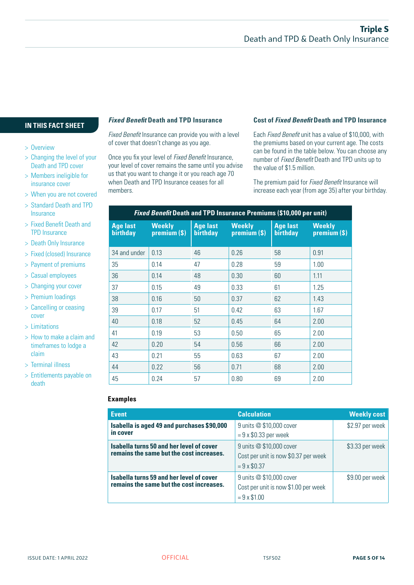- > Overview
- > Changing the level of your Death and TPD cover
- > Members ineligible for insurance cover
- > When you are not covered
- > Standard Death and TPD Insurance
- > Fixed Benefit Death and TPD Insurance
- > Death Only Insurance
- > Fixed (closed) Insurance
- > Payment of premiums
- > Casual employees
- > Changing your cover
- > Premium loadings
- > Cancelling or ceasing cover
- > Limitations
- > How to make a claim and timeframes to lodge a claim
- > Terminal illness
- > Entitlements payable on death

#### *Fixed Benefit* **Death and TPD Insurance**

*Fixed Benefit* Insurance can provide you with a level of cover that doesn't change as you age.

Once you fix your level of *Fixed Benefit* Insurance, your level of cover remains the same until you advise us that you want to change it or you reach age 70 when Death and TPD Insurance ceases for all members.

# **Cost of** *Fixed Benefit* **Death and TPD Insurance**

Each *Fixed Benefit* unit has a value of \$10,000, with the premiums based on your current age. The costs can be found in the table below. You can choose any number of *Fixed Benefit* Death and TPD units up to the value of \$1.5 million.

The premium paid for *Fixed Benefit* Insurance will increase each year (from age 35) after your birthday.

| <b>Fixed Benefit Death and TPD Insurance Premiums (\$10,000 per unit)</b> |                             |                             |                             |                             |                               |
|---------------------------------------------------------------------------|-----------------------------|-----------------------------|-----------------------------|-----------------------------|-------------------------------|
| <b>Age last</b><br>birthday                                               | <b>Weekly</b><br>premium(S) | <b>Age last</b><br>birthday | <b>Weekly</b><br>premium(S) | <b>Age last</b><br>birthday | <b>Weekly</b><br>premium (\$) |
| 34 and under                                                              | 0.13                        | 46                          | 0.26                        | 58                          | 0.91                          |
| 35                                                                        | 0.14                        | 47                          | 0.28                        | 59                          | 1.00                          |
| 36                                                                        | 0.14                        | 48                          | 0.30                        | 60                          | 1.11                          |
| 37                                                                        | 0.15                        | 49                          | 0.33                        | 61                          | 1.25                          |
| 38                                                                        | 0.16                        | 50                          | 0.37                        | 62                          | 1.43                          |
| 39                                                                        | 0.17                        | 51                          | 0.42                        | 63                          | 1.67                          |
| 40                                                                        | 0.18                        | 52                          | 0.45                        | 64                          | 2.00                          |
| 41                                                                        | 0.19                        | 53                          | 0.50                        | 65                          | 2.00                          |
| 42                                                                        | 0.20                        | 54                          | 0.56                        | 66                          | 2.00                          |
| 43                                                                        | 0.21                        | 55                          | 0.63                        | 67                          | 2.00                          |
| 44                                                                        | 0.22                        | 56                          | 0.71                        | 68                          | 2.00                          |
| 45                                                                        | 0.24                        | 57                          | 0.80                        | 69                          | 2.00                          |

### **Examples**

| <b>Event</b>                                                                                | <b>Calculation</b>                                                                     | <b>Weekly cost</b> |
|---------------------------------------------------------------------------------------------|----------------------------------------------------------------------------------------|--------------------|
| Isabella is aged 49 and purchases \$90,000<br>in cover                                      | 9 units @ \$10,000 cover<br>$= 9 \times $0.33$ per week                                | $$2.97$ per week   |
| <b>Isabella turns 50 and her level of cover</b><br>remains the same but the cost increases. | 9 units @ \$10,000 cover<br>Cost per unit is now \$0.37 per week<br>$= 9 \times $0.37$ | \$3.33 per week    |
| <b>Isabella turns 59 and her level of cover</b><br>remains the same but the cost increases. | 9 units @ \$10,000 cover<br>Cost per unit is now \$1.00 per week<br>$= 9 \times $1.00$ | \$9.00 per week    |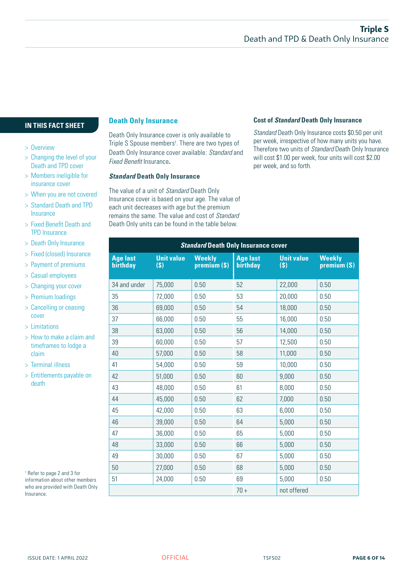- > Overview
- > Changing the level of your Death and TPD cover
- > Members ineligible for insurance cover
- > When you are not covered
- > Standard Death and TPD Insurance
- > Fixed Benefit Death and TPD Insurance
- > Death Only Insurance
- > Fixed (closed) Insurance
- > Payment of premiums
- > Casual employees
- > Changing your cover
- > Premium loadings
- > Cancelling or ceasing cover
- > Limitations
- > How to make a claim and timeframes to lodge a claim
- > Terminal illness
- > Entitlements payable on death

1 Refer to page 2 and 3 for information about other members who are provided with Death Only Insurance.

# **IN THIS FACT SHEET Death Only Insurance**

Death Only Insurance cover is only available to Triple S Spouse members<sup>1</sup>. There are two types of Death Only Insurance cover available: *Standard* and *Fixed Benefit* Insurance**.**

#### *Standard* **Death Only Insurance**

The value of a unit of *Standard* Death Only Insurance cover is based on your age. The value of each unit decreases with age but the premium remains the same. The value and cost of *Standard* Death Only units can be found in the table below.

#### **Cost of** *Standard* **Death Only Insurance**

*Standard* Death Only Insurance costs \$0.50 per unit per week, irrespective of how many units you have. Therefore two units of *Standard* Death Only Insurance will cost \$1.00 per week, four units will cost \$2.00 per week, and so forth.

| <b>Standard Death Only Insurance cover</b> |                          |                             |                                    |                          |                              |
|--------------------------------------------|--------------------------|-----------------------------|------------------------------------|--------------------------|------------------------------|
| <b>Age last</b><br>birthday                | <b>Unit value</b><br>(S) | <b>Weekly</b><br>premium(S) | <b>Age last</b><br><b>birthday</b> | <b>Unit value</b><br>(S) | <b>Weekly</b><br>premium (S) |
| 34 and under                               | 75,000                   | 0.50                        | 52                                 | 22,000                   | 0.50                         |
| 35                                         | 72,000                   | 0.50                        | 53                                 | 20,000                   | 0.50                         |
| 36                                         | 69,000                   | 0.50                        | 54                                 | 18,000                   | 0.50                         |
| 37                                         | 66,000                   | 0.50                        | 55                                 | 16,000                   | 0.50                         |
| 38                                         | 63,000                   | 0.50                        | 56                                 | 14,000                   | 0.50                         |
| 39                                         | 60,000                   | 0.50                        | 57                                 | 12,500                   | 0.50                         |
| 40                                         | 57,000                   | 0.50                        | 58                                 | 11,000                   | 0.50                         |
| 41                                         | 54,000                   | 0.50                        | 59                                 | 10,000                   | 0.50                         |
| 42                                         | 51,000                   | 0.50                        | 60                                 | 9,000                    | 0.50                         |
| 43                                         | 48,000                   | 0.50                        | 61                                 | 8,000                    | 0.50                         |
| 44                                         | 45,000                   | 0.50                        | 62                                 | 7,000                    | 0.50                         |
| 45                                         | 42,000                   | 0.50                        | 63                                 | 6,000                    | 0.50                         |
| 46                                         | 39,000                   | 0.50                        | 64                                 | 5,000                    | 0.50                         |
| 47                                         | 36,000                   | 0.50                        | 65                                 | 5,000                    | 0.50                         |
| 48                                         | 33,000                   | 0.50                        | 66                                 | 5,000                    | 0.50                         |
| 49                                         | 30,000                   | 0.50                        | 67                                 | 5,000                    | 0.50                         |
| 50                                         | 27,000                   | 0.50                        | 68                                 | 5,000                    | 0.50                         |
| 51                                         | 24,000                   | 0.50                        | 69                                 | 5,000                    | 0.50                         |
|                                            |                          |                             | $70 +$                             | not offered              |                              |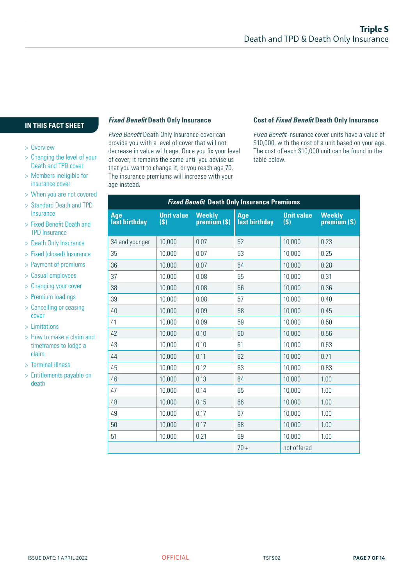- > Overview
- > Changing the level of your Death and TPD cover
- > Members ineligible for insurance cover
- > When you are not covered
- > Standard Death and TPD Insurance
- > Fixed Benefit Death and TPD Insurance
- > Death Only Insurance
- > Fixed (closed) Insurance
- > Payment of premiums
- > Casual employees
- > Changing your cover
- > Premium loadings
- > Cancelling or ceasing cover
- > Limitations
- > How to make a claim and timeframes to lodge a claim
- > Terminal illness
- > Entitlements payable on death

#### *Fixed Benefit* **Death Only Insurance**

*Fixed Benefit* Death Only Insurance cover can provide you with a level of cover that will not decrease in value with age. Once you fix your level of cover, it remains the same until you advise us that you want to change it, or you reach age 70. The insurance premiums will increase with your age instead.

#### **Cost of** *Fixed Benefit* **Death Only Insurance**

*Fixed Benefit* insurance cover units have a value of \$10,000, with the cost of a unit based on your age. The cost of each \$10,000 unit can be found in the table below.

| <b>Fixed Benefit Death Only Insurance Premiums</b> |                          |                             |                      |                          |                             |
|----------------------------------------------------|--------------------------|-----------------------------|----------------------|--------------------------|-----------------------------|
| Age<br>last birthday                               | <b>Unit value</b><br>(s) | <b>Weekly</b><br>premium(S) | Age<br>last birthday | <b>Unit value</b><br>(s) | <b>Weekly</b><br>premium(S) |
| 34 and younger                                     | 10,000                   | 0.07                        | 52                   | 10,000                   | 0.23                        |
| 35                                                 | 10,000                   | 0.07                        | 53                   | 10,000                   | 0.25                        |
| 36                                                 | 10,000                   | 0.07                        | 54                   | 10,000                   | 0.28                        |
| 37                                                 | 10,000                   | 0.08                        | 55                   | 10,000                   | 0.31                        |
| 38                                                 | 10,000                   | 0.08                        | 56                   | 10,000                   | 0.36                        |
| 39                                                 | 10,000                   | 0.08                        | 57                   | 10,000                   | 0.40                        |
| 40                                                 | 10,000                   | 0.09                        | 58                   | 10,000                   | 0.45                        |
| 41                                                 | 10,000                   | 0.09                        | 59                   | 10,000                   | 0.50                        |
| 42                                                 | 10,000                   | 0.10                        | 60                   | 10,000                   | 0.56                        |
| 43                                                 | 10,000                   | 0.10                        | 61                   | 10,000                   | 0.63                        |
| 44                                                 | 10,000                   | 0.11                        | 62                   | 10,000                   | 0.71                        |
| 45                                                 | 10,000                   | 0.12                        | 63                   | 10,000                   | 0.83                        |
| 46                                                 | 10,000                   | 0.13                        | 64                   | 10,000                   | 1.00                        |
| 47                                                 | 10,000                   | 0.14                        | 65                   | 10,000                   | 1.00                        |
| 48                                                 | 10,000                   | 0.15                        | 66                   | 10,000                   | 1.00                        |
| 49                                                 | 10,000                   | 0.17                        | 67                   | 10,000                   | 1.00                        |
| 50                                                 | 10,000                   | 0.17                        | 68                   | 10,000                   | 1.00                        |
| 51                                                 | 10,000                   | 0.21                        | 69                   | 10,000                   | 1.00                        |
|                                                    |                          |                             | $70 +$               | not offered              |                             |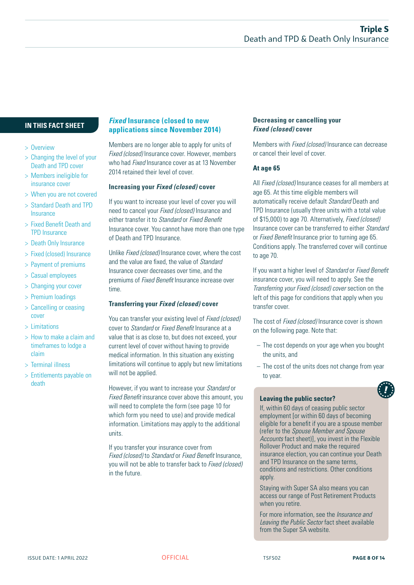- > Overview
- > Changing the level of your Death and TPD cover
- > Members ineligible for insurance cover
- > When you are not covered
- > Standard Death and TPD Insurance
- > Fixed Benefit Death and TPD Insurance
- > Death Only Insurance
- > Fixed (closed) Insurance
- > Payment of premiums
- > Casual employees
- > Changing your cover
- > Premium loadings
- > Cancelling or ceasing cover
- > Limitations
- > How to make a claim and timeframes to lodge a claim
- > Terminal illness
- > Entitlements payable on death

### **IN THIS FACT SHEET** *Fixed* **Insurance (closed to new applications since November 2014)**

Members are no longer able to apply for units of *Fixed (closed)* Insurance cover. However, members who had *Fixed* Insurance cover as at 13 November 2014 retained their level of cover.

#### **Increasing your** *Fixed (closed)* **cover**

If you want to increase your level of cover you will need to cancel your *Fixed (closed)* Insurance and either transfer it to *Standard* or *Fixed Benefit* Insurance cover. You cannot have more than one type of Death and TPD Insurance.

Unlike *Fixed (closed)* Insurance cover, where the cost and the value are fixed, the value of *Standard* Insurance cover decreases over time, and the premiums of *Fixed Benefit* Insurance increase over time.

#### **Transferring your** *Fixed (closed)* **cover**

You can transfer your existing level of *Fixed (closed)* cover to *Standard* or *Fixed Benefit* Insurance at a value that is as close to, but does not exceed, your current level of cover without having to provide medical information. In this situation any existing limitations will continue to apply but new limitations will not be applied.

However, if you want to increase your *Standard* or *Fixed Benefit* insurance cover above this amount, you will need to complete the form (see page 10 for which form you need to use) and provide medical information. Limitations may apply to the additional units.

If you transfer your insurance cover from *Fixed (closed)* to *Standard* or *Fixed Benefit* Insurance, you will not be able to transfer back to *Fixed (closed)* in the future.

#### **Decreasing or cancelling your**  *Fixed (closed)* **cover**

Members with *Fixed (closed)* Insurance can decrease or cancel their level of cover.

#### **At age 65**

All *Fixed (closed)* Insurance ceases for all members at age 65. At this time eligible members will automatically receive default *Standard* Death and TPD Insurance (usually three units with a total value of \$15,000) to age 70. Alternatively, *Fixed (closed)* Insurance cover can be transferred to either *Standard* or *Fixed Benefit* Insurance prior to turning age 65. Conditions apply. The transferred cover will continue to age 70.

If you want a higher level of *Standard* or *Fixed Benefit*  insurance cover, you will need to apply. See the *Transferring your Fixed (closed) cover* section on the left of this page for conditions that apply when you transfer cover.

The cost of *Fixed (closed)* Insurance cover is shown on the following page. Note that:

- The cost depends on your age when you bought the units, and
- The cost of the units does not change from year to year.

#### **Leaving the public sector?**

If, within 60 days of ceasing public sector employment [or within 60 days of becoming eligible for a benefit if you are a spouse member (refer to the *Spouse Member and Spouse Accounts* fact sheet)], you invest in the Flexible Rollover Product and make the required insurance election, you can continue your Death and TPD Insurance on the same terms, conditions and restrictions. Other conditions apply.

Staying with Super SA also means you can access our range of Post Retirement Products when you retire.

For more information, see the *Insurance and Leaving the Public Sector* fact sheet available from the Super SA website.

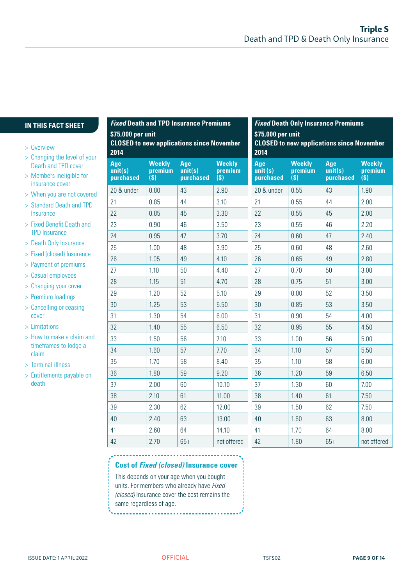# **IN THIS FACT SHEET** *Fixed* **Death and TPD Insurance Premiums**

- > Overview
- > Changing the level of your Death and TPD cover
- > Members ineligible for insurance cover
- > When you are not covered
- > Standard Death and TPD **Insurance**
- > Fixed Benefit Death and TPD Insurance
- > Death Only Insurance
- > Fixed (closed) Insurance
- > Payment of premiums
- > Casual employees
- > Changing your cover
- > Premium loadings
- > Cancelling or ceasing cover
- > Limitations
- > How to make a claim and timeframes to lodge a claim
- > Terminal illness
- > Entitlements payable on death

| \$75,000 per unit<br><b>CLOSED to new applications since November</b><br>2014 |                                 |                             |                                 | \$75,<br><b>CLO</b><br>2014 |
|-------------------------------------------------------------------------------|---------------------------------|-----------------------------|---------------------------------|-----------------------------|
| Age<br>unit(s)<br>purchased                                                   | <b>Weekly</b><br>premium<br>(S) | Age<br>unit(s)<br>purchased | <b>Weekly</b><br>premium<br>(S) | Age<br>unit<br>purc         |
| 20 & under                                                                    | 0.80                            | 43                          | 2.90                            | 208                         |
| 21                                                                            | 0.85                            | 44                          | 3.10                            | 21                          |
| 22                                                                            | 0.85                            | 45                          | 3.30                            | 22                          |
| 23                                                                            | 0.90                            | 46                          | 3.50                            | 23                          |
| 24                                                                            | 0.95                            | 47                          | 3.70                            | 24                          |
| 25                                                                            | 1.00                            | 48                          | 3.90                            | 25                          |
| 26                                                                            | 1.05                            | 49                          | 4.10                            | 26                          |
| 27                                                                            | 1.10                            | 50                          | 4.40                            | 27                          |
| 28                                                                            | 1.15                            | 51                          | 4.70                            | 28                          |
| 29                                                                            | 1.20                            | 52                          | 5.10                            | 29                          |
| 30                                                                            | 1.25                            | 53                          | 5.50                            | 30                          |
| 31                                                                            | 1.30                            | 54                          | 6.00                            | 31                          |
| 32                                                                            | 1.40                            | 55                          | 6.50                            | 32                          |
| 33                                                                            | 1.50                            | 56                          | 7.10                            | 33                          |
| 34                                                                            | 1.60                            | 57                          | 7.70                            | 34                          |
| 35                                                                            | 1.70                            | 58                          | 8.40                            | 35                          |
| 36                                                                            | 1.80                            | 59                          | 9.20                            | 36                          |
| 37                                                                            | 2.00                            | 60                          | 10.10                           | 37                          |
| 38                                                                            | 2.10                            | 61                          | 11.00                           | 38                          |
| 39                                                                            | 2.30                            | 62                          | 12.00                           | 39                          |
| 40                                                                            | 2.40                            | 63                          | 13.00                           | 40                          |
| 41                                                                            | 2.60                            | 64                          | 14.10                           | 41                          |
| 47                                                                            | 2.70                            | $65+$                       | not offered                     | 42                          |

## *Fixed* **Death Only Insurance Premiums 000 per unit SED to new applications since November 2014**

| Age<br>unit(s)<br>purchased | <b>Weekly</b><br>premium<br>(\$) | Age<br>unit(s)<br>purchased | <b>Weekly</b><br>premium<br>(S) |
|-----------------------------|----------------------------------|-----------------------------|---------------------------------|
| 20 & under                  | 0.55                             | 43                          | 1.90                            |
| 21                          | 0.55                             | 44                          | 2.00                            |
| 22                          | 0.55                             | 45                          | 2.00                            |
| 23                          | 0.55                             | 46                          | 2.20                            |
| 24                          | 0.60                             | 47                          | 2.40                            |
| 25                          | 0.60                             | 48                          | 2.60                            |
| 26                          | 0.65                             | 49                          | 2.80                            |
| 27                          | 0.70                             | 50                          | 3.00                            |
| 28                          | 0.75                             | 51                          | 3.00                            |
| 29                          | 0.80                             | 52                          | 3.50                            |
| 30                          | 0.85                             | 53                          | 3.50                            |
| 31                          | 0.90                             | 54                          | 4.00                            |
| 32                          | 0.95                             | 55                          | 4.50                            |
| 33                          | 1.00                             | 56                          | 5.00                            |
| 34                          | 1.10                             | 57                          | 5.50                            |
| 35                          | 1.10                             | 58                          | 6.00                            |
| 36                          | 1.20                             | 59                          | 6.50                            |
| 37                          | 1.30                             | 60                          | 7.00                            |
| 38                          | 1.40                             | 61                          | 7.50                            |
| 39                          | 1.50                             | 62                          | 7.50                            |
| 40                          | 1.60                             | 63                          | 8.00                            |
| 41                          | 1.70                             | 64                          | 8.00                            |
| 42                          | 1.80                             | $65+$                       | not offered                     |

### **Cost of** *Fixed (closed)* **Insurance cover**

This depends on your age when you bought

- units. For members who already have *Fixed*
- *(closed)* Insurance cover the cost remains the same regardless of age.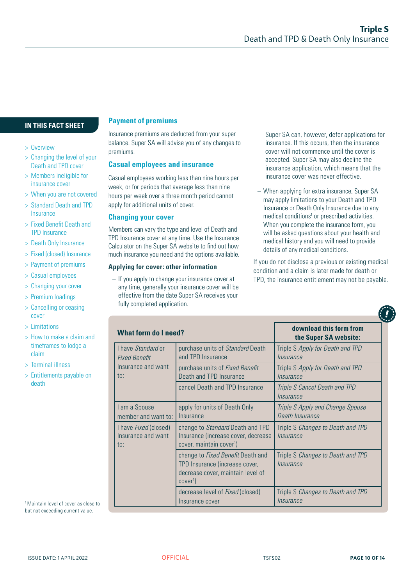- > Overview
- > Changing the level of your Death and TPD cover
- > Members ineligible for insurance cover
- > When you are not covered
- > Standard Death and TPD
- Insurance > Fixed Benefit Death and
- TPD Insurance
- > Death Only Insurance
- > Fixed (closed) Insurance
- > Payment of premiums
- > Casual employees
- > Changing your cover
- > Premium loadings
- > Cancelling or ceasing cover
- > Limitations
- > How to make a claim and timeframes to lodge a claim
- > Terminal illness
- > Entitlements payable on death

**IN THIS FACT SHEET Payment of premiums**

Insurance premiums are deducted from your super balance. Super SA will advise you of any changes to premiums.

#### **Casual employees and insurance**

Casual employees working less than nine hours per week, or for periods that average less than nine hours per week over a three month period cannot apply for additional units of cover.

#### **Changing your cover**

Members can vary the type and level of Death and TPD Insurance cover at any time. Use the Insurance Calculator on the Super SA website to find out how much insurance you need and the options available.

#### **Applying for cover: other information**

– If you apply to change your insurance cover at any time, generally your insurance cover will be effective from the date Super SA receives your fully completed application.

Super SA can, however, defer applications for insurance. If this occurs, then the insurance cover will not commence until the cover is accepted. Super SA may also decline the insurance application, which means that the insurance cover was never effective.

– When applying for extra insurance, Super SA may apply limitations to your Death and TPD Insurance or Death Only Insurance due to any medical conditions<sup>1</sup> or prescribed activities. When you complete the insurance form, you will be asked questions about your health and medical history and you will need to provide details of any medical conditions.

If you do not disclose a previous or existing medical condition and a claim is later made for death or TPD, the insurance entitlement may not be payable.

| <b>What form do I need?</b>                                             |                                                                                                                                | download this form from<br>the Super SA website:           |
|-------------------------------------------------------------------------|--------------------------------------------------------------------------------------------------------------------------------|------------------------------------------------------------|
| I have Standard or<br><b>Fixed Benefit</b>                              | purchase units of Standard Death<br>and TPD Insurance                                                                          | Triple S Apply for Death and TPD<br><i>Insurance</i>       |
| Insurance and want<br>10.7                                              | purchase units of Fixed Benefit<br>Death and TPD Insurance                                                                     | Triple S Apply for Death and TPD<br><i>Insurance</i>       |
|                                                                         | cancel Death and TPD Insurance                                                                                                 | Triple S Cancel Death and TPD<br><i>Insurance</i>          |
| I am a Spouse<br>member and want to:                                    | apply for units of Death Only<br>Insurance                                                                                     | Triple S Apply and Change Spouse<br><b>Death Insurance</b> |
| I have <i>Fixed</i> (closed)<br>Insurance and want<br>$\overline{10}$ : | change to Standard Death and TPD<br>Insurance (increase cover, decrease<br>cover, maintain cover <sup>1</sup> )                | Triple S Changes to Death and TPD<br><i>Insurance</i>      |
|                                                                         | change to Fixed Benefit Death and<br>TPD Insurance (increase cover,<br>decrease cover, maintain level of<br>cover <sup>1</sup> | Triple S Changes to Death and TPD<br><i>Insurance</i>      |
|                                                                         | decrease level of <i>Fixed</i> (closed)<br>Insurance cover                                                                     | Triple S Changes to Death and TPD<br><i>Insurance</i>      |

1 Maintain level of cover as close to but not exceeding current value.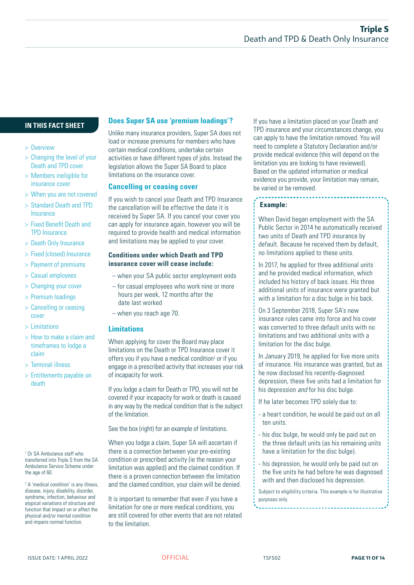- > Overview
- > Changing the level of your Death and TPD cover
- > Members ineligible for insurance cover
- > When you are not covered
- > Standard Death and TPD Insurance
- > Fixed Benefit Death and TPD Insurance
- > Death Only Insurance
- > Fixed (closed) Insurance
- > Payment of premiums
- > Casual employees
- > Changing your cover
- > Premium loadings
- > Cancelling or ceasing cover
- > Limitations
- > How to make a claim and timeframes to lodge a claim
- > Terminal illness
- > Entitlements payable on death

1 Or SA Ambulance staff who transferred into Triple S from the SA Ambulance Service Scheme under the age of 60.

2 A 'medical condition' is any illness, disease, injury, disability, disorder, syndrome, infection, behaviour and atypical variations of structure and function that impact on or affect the physical and/or mental condition and impairs normal function.

Unlike many insurance providers, Super SA does not load or increase premiums for members who have certain medical conditions, undertake certain activities or have different types of jobs. Instead the legislation allows the Super SA Board to place limitations on the insurance cover.

#### **Cancelling or ceasing cover**

If you wish to cancel your Death and TPD Insurance the cancellation will be effective the date it is received by Super SA. If you cancel your cover you can apply for insurance again, however you will be required to provide health and medical information and limitations may be applied to your cover.

#### **Conditions under which Death and TPD insurance cover will cease include:**

- when your SA public sector employment ends
- for casual employees who work nine or more hours per week, 12 months after the date last worked
- when you reach age 70.

#### **Limitations**

When applying for cover the Board may place limitations on the Death or TPD Insurance cover it offers you if you have a medical condition<sup>2</sup> or if you engage in a prescribed activity that increases your risk of incapacity for work.

If you lodge a claim for Death or TPD, you will not be covered if your incapacity for work or death is caused in any way by the medical condition that is the subject of the limitation.

See the box (right) for an example of limitations.

When you lodge a claim, Super SA will ascertain if there is a connection between your pre-existing condition or prescribed activity (ie the reason your limitation was applied) and the claimed condition. If there is a proven connection between the limitation and the claimed condition, your claim will be denied.

It is important to remember that even if you have a limitation for one or more medical conditions, you are still covered for other events that are not related to the limitation.

**IN THIS FACT SHEET** Does Super SA use 'premium loadings'? If you have a limitation placed on your Death and **IN THIS FACT SHEET** TPD insurance and your circumstances change, you can apply to have the limitation removed. You will need to complete a Statutory Declaration and/or provide medical evidence (this will depend on the limitation you are looking to have reviewed). Based on the updated information or medical evidence you provide, your limitation may remain, be varied or be removed.

#### **Example:**

When David began employment with the SA Public Sector in 2014 he automatically received two units of Death and TPD insurance by default. Because he received them by default, no limitations applied to these units.

In 2017, he applied for three additional units and he provided medical information, which included his history of back issues. His three additional units of insurance were granted but with a limitation for a disc bulge in his back.

On 3 September 2018, Super SA's new insurance rules came into force and his cover was converted to three default units with no limitations and two additional units with a limitation for the disc bulge.

In January 2019, he applied for five more units of insurance. His insurance was granted, but as he now disclosed his recently-diagnosed depression, these five units had a limitation for his depression *and* for his disc bulge.

If he later becomes TPD solely due to:

- a heart condition, he would be paid out on all ten units.
- his disc bulge, he would only be paid out on the three default units (as his remaining units have a limitation for the disc bulge).
- his depression, he would only be paid out on the five units he had before he was diagnosed with and then disclosed his depression.

Subject to eligibility criteria. This example is for illustrative purposes only.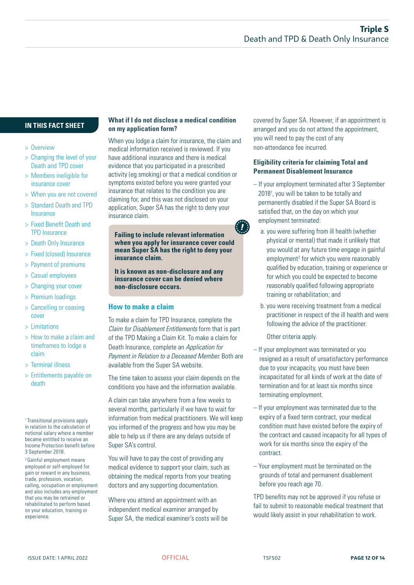- > Overview
- > Changing the level of your Death and TPD cover
- > Members ineligible for insurance cover
- > When you are not covered
- > Standard Death and TPD Insurance
- > Fixed Benefit Death and TPD Insurance
- > Death Only Insurance
- > Fixed (closed) Insurance
- > Payment of premiums
- > Casual employees
- > Changing your cover
- > Premium loadings
- > Cancelling or ceasing cover
- > Limitations
- > How to make a claim and timeframes to lodge a claim
- > Terminal illness
- > Entitlements payable on death

1 Transitional provisions apply in relation to the calculation of notional salary where a member became entitled to receive an Income Protection benefit before 3 September 2018.

2 Gainful employment means employed or self-employed for gain or reward in any business, trade, profession, vocation, calling, occupation or employment and also includes any employment that you may be retrained or rehabilitated to perform based on your education, training or experience.

#### **What if I do not disclose a medical condition on my application form?**

When you lodge a claim for insurance, the claim and medical information received is reviewed. If you have additional insurance and there is medical evidence that you participated in a prescribed activity (eg smoking) or that a medical condition or symptoms existed before you were granted your insurance that relates to the condition you are claiming for, and this was not disclosed on your application, Super SA has the right to deny your insurance claim.

**Failing to include relevant information when you apply for insurance cover could mean Super SA has the right to deny your insurance claim.**

**It is known as non-disclosure and any insurance cover can be denied where non-disclosure occurs.**

#### **How to make a claim**

To make a claim for TPD Insurance, complete the *Claim for Disablement Entitlements* form that is part of the TPD Making a Claim Kit. To make a claim for Death Insurance, complete an *Application for Payment in Relation to a Deceased Member*. Both are available from the Super SA website.

The time taken to assess your claim depends on the conditions you have and the information available.

A claim can take anywhere from a few weeks to several months, particularly if we have to wait for information from medical practitioners. We will keep you informed of the progress and how you may be able to help us if there are any delays outside of Super SA's control.

You will have to pay the cost of providing any medical evidence to support your claim, such as obtaining the medical reports from your treating doctors and any supporting documentation.

Where you attend an appointment with an independent medical examiner arranged by Super SA, the medical examiner's costs will be covered by Super SA. However, if an appointment is arranged and you do not attend the appointment, you will need to pay the cost of any non-attendance fee incurred.

### **Eligibility criteria for claiming Total and Permanent Disablement Insurance**

- If your employment terminated after 3 September 20181 , you will be taken to be totally and permanently disabled if the Super SA Board is satisfied that, on the day on which your employment terminated:
	- a. you were suffering from ill health (whether physical or mental) that made it unlikely that you would at any future time engage in gainful employment<sup>2</sup> for which you were reasonably qualified by education, training or experience or for which you could be expected to become reasonably qualified following appropriate training or rehabilitation; and
	- b. you were receiving treatment from a medical practitioner in respect of the ill health and were following the advice of the practitioner.

Other criteria apply.

- If your employment was terminated or you resigned as a result of unsatisfactory performance due to your incapacity, you must have been incapacitated for all kinds of work at the date of termination and for at least six months since terminating employment.
- If your employment was terminated due to the expiry of a fixed term contract, your medical condition must have existed before the expiry of the contract and caused incapacity for all types of work for six months since the expiry of the contract.
- Your employment must be terminated on the grounds of total and permanent disablement before you reach age 70.

TPD benefits may not be approved if you refuse or fail to submit to reasonable medical treatment that would likely assist in your rehabilitation to work.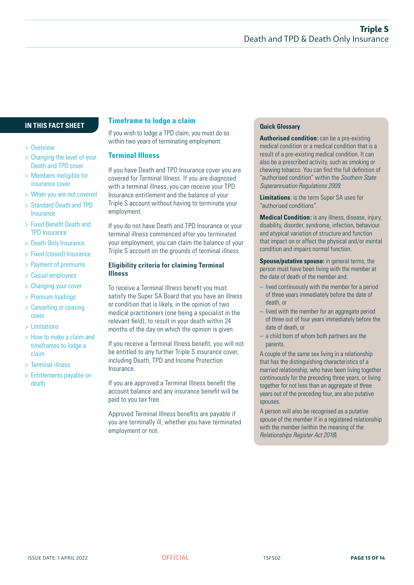- > Overview
- > Changing the level of your Death and TPD cover
- > Members ineligible for insurance cover
- > When you are not covered
- > Standard Death and TPD Insurance
- > Fixed Benefit Death and TPD Insurance
- > Death Only Insurance
- > Fixed (closed) Insurance
- > Payment of premiums
- > Casual employees
- > Changing your cover
- > Premium loadings
- > Cancelling or ceasing cover
- > Limitations
- > How to make a claim and timeframes to lodge a claim
- > Terminal illness
- > Entitlements payable on death

# **IN THIS FACT SHEET Timeframe to lodge a claim**

If you wish to lodge a TPD claim, you must do so within two years of terminating employment.

### **Terminal Illness**

If you have Death and TPD Insurance cover you are covered for Terminal Illness. If you are diagnosed with a terminal illness, you can receive your TPD Insurance entitlement and the balance of your Triple S account without having to terminate your employment.

If you do not have Death and TPD Insurance or your terminal illness commenced after you terminated your employment, you can claim the balance of your Triple S account on the grounds of terminal illness.

#### **Eligibility criteria for claiming Terminal Illness**

To receive a Terminal Illness benefit you must satisfy the Super SA Board that you have an illness or condition that is likely, in the opinion of two medical practitioners (one being a specialist in the relevant field), to result in your death within 24 months of the day on which the opinion is given.

If you receive a Terminal Illness benefit, you will not be entitled to any further Triple S insurance cover, including Death, TPD and Income Protection Insurance.

If you are approved a Terminal Illness benefit the account balance and any insurance benefit will be paid to you tax free.

Approved Terminal Illness benefits are payable if you are terminally ill, whether you have terminated employment or not.

#### **Quick Glossary**

**Authorised condition:** can be a pre-existing medical condition or a medical condition that is a result of a pre-existing medical condition. It can also be a prescribed activity, such as smoking or chewing tobacco. You can find the full definition of "authorised condition" within the *Southern State Superannuation Regulations 2009*.

**Limitations**: is the term Super SA uses for "authorised conditions".

**Medical Condition:** is any illness, disease, injury, disability, disorder, syndrome, infection, behaviour and atypical variation of structure and function that impact on or affect the physical and/or mental condition and impairs normal function.

**Spouse/putative spouse:** in general terms, the person must have been living with the member at the date of death of the member and:

- lived continuously with the member for a period of three years immediately before the date of death, or
- lived with the member for an aggregate period of three out of four years immediately before the date of death, or
- a child born of whom both partners are the parents.

A couple of the same sex living in a relationship that has the distinguishing characteristics of a married relationship, who have been living together continuously for the preceding three years, or living together for not less than an aggregate of three years out of the preceding four, are also putative spouses.

A person will also be recognised as a putative spouse of the member if in a registered relationship with the member (within the meaning of the *Relationships Register Act 2016*).